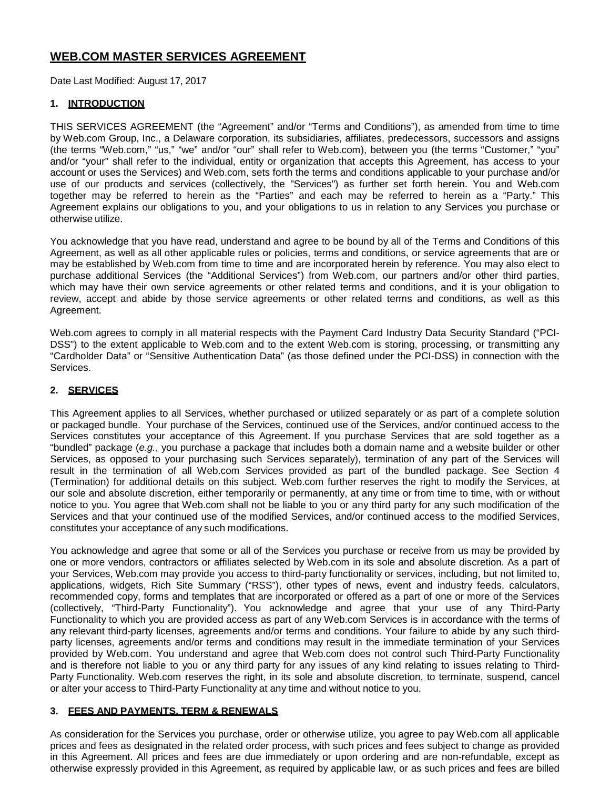# **WEB.COM MASTER SERVICES AGREEMENT**

Date Last Modified: August 17, 2017

# **1. INTRODUCTION**

THIS SERVICES AGREEMENT (the "Agreement" and/or "Terms and Conditions"), as amended from time to time by Web.com Group, Inc., a Delaware corporation, its subsidiaries, affiliates, predecessors, successors and assigns (the terms "Web.com," "us," "we" and/or "our" shall refer to Web.com), between you (the terms "Customer," "you" and/or "your" shall refer to the individual, entity or organization that accepts this Agreement, has access to your account or uses the Services) and Web.com, sets forth the terms and conditions applicable to your purchase and/or use of our products and services (collectively, the "Services") as further set forth herein. You and Web.com together may be referred to herein as the "Parties" and each may be referred to herein as a "Party." This Agreement explains our obligations to you, and your obligations to us in relation to any Services you purchase or otherwise utilize.

You acknowledge that you have read, understand and agree to be bound by all of the Terms and Conditions of this Agreement, as well as all other applicable rules or policies, terms and conditions, or service agreements that are or may be established by Web.com from time to time and are incorporated herein by reference. You may also elect to purchase additional Services (the "Additional Services") from Web.com, our partners and/or other third parties, which may have their own service agreements or other related terms and conditions, and it is your obligation to review, accept and abide by those service agreements or other related terms and conditions, as well as this Agreement.

Web.com agrees to comply in all material respects with the Payment Card Industry Data Security Standard ("PCI-DSS") to the extent applicable to Web.com and to the extent Web.com is storing, processing, or transmitting any "Cardholder Data" or "Sensitive Authentication Data" (as those defined under the PCI-DSS) in connection with the Services.

#### **2. SERVICES**

This Agreement applies to all Services, whether purchased or utilized separately or as part of a complete solution or packaged bundle. Your purchase of the Services, continued use of the Services, and/or continued access to the Services constitutes your acceptance of this Agreement. If you purchase Services that are sold together as a "bundled" package (*e.g.*, you purchase a package that includes both a domain name and a website builder or other Services, as opposed to your purchasing such Services separately), termination of any part of the Services will result in the termination of all Web.com Services provided as part of the bundled package. See Section 4 (Termination) for additional details on this subject. Web.com further reserves the right to modify the Services, at our sole and absolute discretion, either temporarily or permanently, at any time or from time to time, with or without notice to you. You agree that Web.com shall not be liable to you or any third party for any such modification of the Services and that your continued use of the modified Services, and/or continued access to the modified Services, constitutes your acceptance of any such modifications.

You acknowledge and agree that some or all of the Services you purchase or receive from us may be provided by one or more vendors, contractors or affiliates selected by Web.com in its sole and absolute discretion. As a part of your Services, Web.com may provide you access to third-party functionality or services, including, but not limited to, applications, widgets, Rich Site Summary ("RSS"), other types of news, event and industry feeds, calculators, recommended copy, forms and templates that are incorporated or offered as a part of one or more of the Services (collectively, "Third-Party Functionality"). You acknowledge and agree that your use of any Third-Party Functionality to which you are provided access as part of any Web.com Services is in accordance with the terms of any relevant third-party licenses, agreements and/or terms and conditions. Your failure to abide by any such thirdparty licenses, agreements and/or terms and conditions may result in the immediate termination of your Services provided by Web.com. You understand and agree that Web.com does not control such Third-Party Functionality and is therefore not liable to you or any third party for any issues of any kind relating to issues relating to Third-Party Functionality. Web.com reserves the right, in its sole and absolute discretion, to terminate, suspend, cancel or alter your access to Third-Party Functionality at any time and without notice to you.

### **3. FEES AND PAYMENTS, TERM & RENEWALS**

As consideration for the Services you purchase, order or otherwise utilize, you agree to pay Web.com all applicable prices and fees as designated in the related order process, with such prices and fees subject to change as provided in this Agreement. All prices and fees are due immediately or upon ordering and are non-refundable, except as otherwise expressly provided in this Agreement, as required by applicable law, or as such prices and fees are billed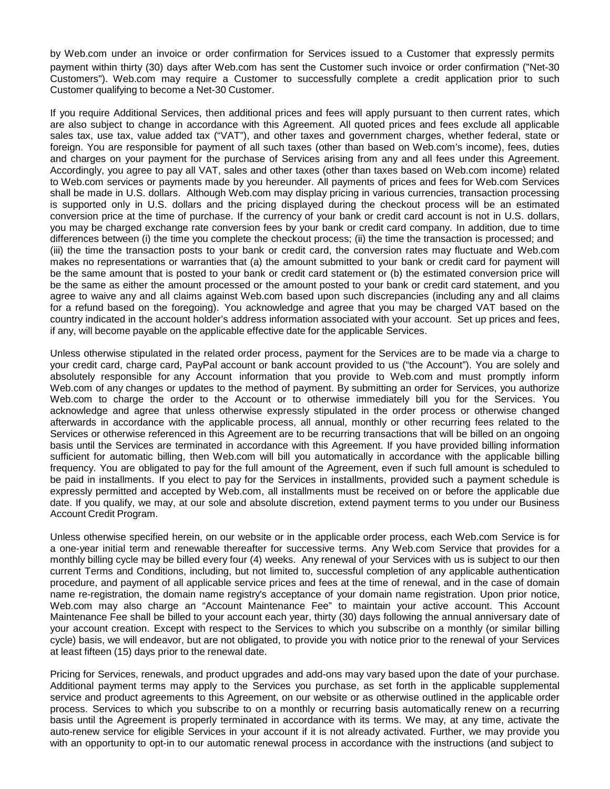by Web.com under an invoice or order confirmation for Services issued to a Customer that expressly permits payment within thirty (30) days after Web.com has sent the Customer such invoice or order confirmation ("Net-30 Customers"). Web.com may require a Customer to successfully complete a credit application prior to such Customer qualifying to become a Net-30 Customer.

If you require Additional Services, then additional prices and fees will apply pursuant to then current rates, which are also subject to change in accordance with this Agreement. All quoted prices and fees exclude all applicable sales tax, use tax, value added tax ("VAT"), and other taxes and government charges, whether federal, state or foreign. You are responsible for payment of all such taxes (other than based on Web.com's income), fees, duties and charges on your payment for the purchase of Services arising from any and all fees under this Agreement. Accordingly, you agree to pay all VAT, sales and other taxes (other than taxes based on Web.com income) related to Web.com services or payments made by you hereunder. All payments of prices and fees for Web.com Services shall be made in U.S. dollars. Although Web.com may display pricing in various currencies, transaction processing is supported only in U.S. dollars and the pricing displayed during the checkout process will be an estimated conversion price at the time of purchase. If the currency of your bank or credit card account is not in U.S. dollars, you may be charged exchange rate conversion fees by your bank or credit card company. In addition, due to time differences between (i) the time you complete the checkout process; (ii) the time the transaction is processed; and (iii) the time the transaction posts to your bank or credit card, the conversion rates may fluctuate and Web.com makes no representations or warranties that (a) the amount submitted to your bank or credit card for payment will be the same amount that is posted to your bank or credit card statement or (b) the estimated conversion price will be the same as either the amount processed or the amount posted to your bank or credit card statement, and you agree to waive any and all claims against Web.com based upon such discrepancies (including any and all claims for a refund based on the foregoing). You acknowledge and agree that you may be charged VAT based on the country indicated in the account holder's address information associated with your account. Set up prices and fees, if any, will become payable on the applicable effective date for the applicable Services.

Unless otherwise stipulated in the related order process, payment for the Services are to be made via a charge to your credit card, charge card, PayPal account or bank account provided to us ("the Account"). You are solely and absolutely responsible for any Account information that you provide to Web.com and must promptly inform Web.com of any changes or updates to the method of payment. By submitting an order for Services, you authorize Web.com to charge the order to the Account or to otherwise immediately bill you for the Services. You acknowledge and agree that unless otherwise expressly stipulated in the order process or otherwise changed afterwards in accordance with the applicable process, all annual, monthly or other recurring fees related to the Services or otherwise referenced in this Agreement are to be recurring transactions that will be billed on an ongoing basis until the Services are terminated in accordance with this Agreement. If you have provided billing information sufficient for automatic billing, then Web.com will bill you automatically in accordance with the applicable billing frequency. You are obligated to pay for the full amount of the Agreement, even if such full amount is scheduled to be paid in installments. If you elect to pay for the Services in installments, provided such a payment schedule is expressly permitted and accepted by Web.com, all installments must be received on or before the applicable due date. If you qualify, we may, at our sole and absolute discretion, extend payment terms to you under our Business Account Credit Program.

Unless otherwise specified herein, on our website or in the applicable order process, each Web.com Service is for a one-year initial term and renewable thereafter for successive terms. Any Web.com Service that provides for a monthly billing cycle may be billed every four (4) weeks. Any renewal of your Services with us is subject to our then current Terms and Conditions, including, but not limited to, successful completion of any applicable authentication procedure, and payment of all applicable service prices and fees at the time of renewal, and in the case of domain name re-registration, the domain name registry's acceptance of your domain name registration. Upon prior notice, Web.com may also charge an "Account Maintenance Fee" to maintain your active account. This Account Maintenance Fee shall be billed to your account each year, thirty (30) days following the annual anniversary date of your account creation. Except with respect to the Services to which you subscribe on a monthly (or similar billing cycle) basis, we will endeavor, but are not obligated, to provide you with notice prior to the renewal of your Services at least fifteen (15) days prior to the renewal date.

Pricing for Services, renewals, and product upgrades and add-ons may vary based upon the date of your purchase. Additional payment terms may apply to the Services you purchase, as set forth in the applicable supplemental service and product agreements to this Agreement, on our website or as otherwise outlined in the applicable order process. Services to which you subscribe to on a monthly or recurring basis automatically renew on a recurring basis until the Agreement is properly terminated in accordance with its terms. We may, at any time, activate the auto-renew service for eligible Services in your account if it is not already activated. Further, we may provide you with an opportunity to opt-in to our automatic renewal process in accordance with the instructions (and subject to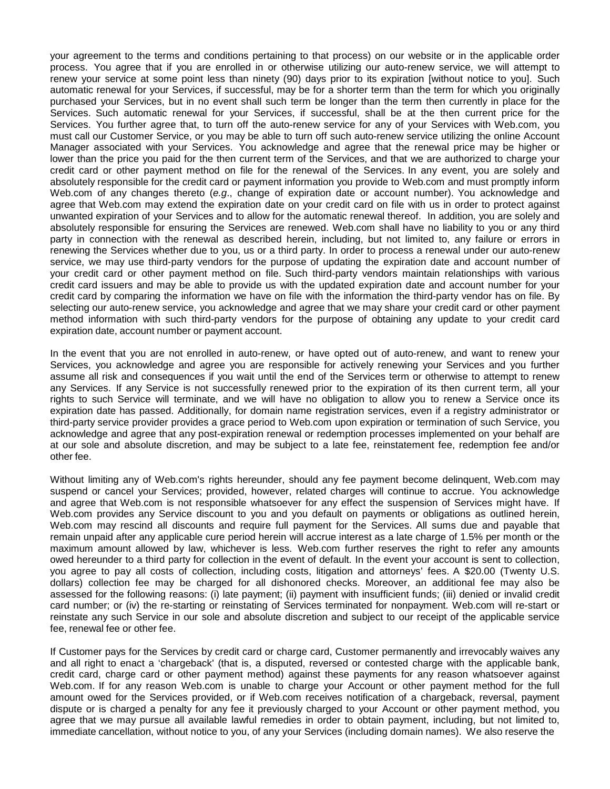your agreement to the terms and conditions pertaining to that process) on our website or in the applicable order process. You agree that if you are enrolled in or otherwise utilizing our auto-renew service, we will attempt to renew your service at some point less than ninety (90) days prior to its expiration [without notice to you]. Such automatic renewal for your Services, if successful, may be for a shorter term than the term for which you originally purchased your Services, but in no event shall such term be longer than the term then currently in place for the Services. Such automatic renewal for your Services, if successful, shall be at the then current price for the Services. You further agree that, to turn off the auto-renew service for any of your Services with Web.com, you must call our Customer Service, or you may be able to turn off such auto-renew service utilizing the online Account Manager associated with your Services. You acknowledge and agree that the renewal price may be higher or lower than the price you paid for the then current term of the Services, and that we are authorized to charge your credit card or other payment method on file for the renewal of the Services. In any event, you are solely and absolutely responsible for the credit card or payment information you provide to Web.com and must promptly inform Web.com of any changes thereto (*e.g*., change of expiration date or account number). You acknowledge and agree that Web.com may extend the expiration date on your credit card on file with us in order to protect against unwanted expiration of your Services and to allow for the automatic renewal thereof. In addition, you are solely and absolutely responsible for ensuring the Services are renewed. Web.com shall have no liability to you or any third party in connection with the renewal as described herein, including, but not limited to, any failure or errors in renewing the Services whether due to you, us or a third party. In order to process a renewal under our auto-renew service, we may use third-party vendors for the purpose of updating the expiration date and account number of your credit card or other payment method on file. Such third-party vendors maintain relationships with various credit card issuers and may be able to provide us with the updated expiration date and account number for your credit card by comparing the information we have on file with the information the third-party vendor has on file. By selecting our auto-renew service, you acknowledge and agree that we may share your credit card or other payment method information with such third-party vendors for the purpose of obtaining any update to your credit card expiration date, account number or payment account.

In the event that you are not enrolled in auto-renew, or have opted out of auto-renew, and want to renew your Services, you acknowledge and agree you are responsible for actively renewing your Services and you further assume all risk and consequences if you wait until the end of the Services term or otherwise to attempt to renew any Services. If any Service is not successfully renewed prior to the expiration of its then current term, all your rights to such Service will terminate, and we will have no obligation to allow you to renew a Service once its expiration date has passed. Additionally, for domain name registration services, even if a registry administrator or third-party service provider provides a grace period to Web.com upon expiration or termination of such Service, you acknowledge and agree that any post-expiration renewal or redemption processes implemented on your behalf are at our sole and absolute discretion, and may be subject to a late fee, reinstatement fee, redemption fee and/or other fee.

Without limiting any of Web.com's rights hereunder, should any fee payment become delinquent, Web.com may suspend or cancel your Services; provided, however, related charges will continue to accrue. You acknowledge and agree that Web.com is not responsible whatsoever for any effect the suspension of Services might have. If Web.com provides any Service discount to you and you default on payments or obligations as outlined herein, Web.com may rescind all discounts and require full payment for the Services. All sums due and payable that remain unpaid after any applicable cure period herein will accrue interest as a late charge of 1.5% per month or the maximum amount allowed by law, whichever is less. Web.com further reserves the right to refer any amounts owed hereunder to a third party for collection in the event of default. In the event your account is sent to collection, you agree to pay all costs of collection, including costs, litigation and attorneys' fees. A \$20.00 (Twenty U.S. dollars) collection fee may be charged for all dishonored checks. Moreover, an additional fee may also be assessed for the following reasons: (i) late payment; (ii) payment with insufficient funds; (iii) denied or invalid credit card number; or (iv) the re-starting or reinstating of Services terminated for nonpayment. Web.com will re-start or reinstate any such Service in our sole and absolute discretion and subject to our receipt of the applicable service fee, renewal fee or other fee.

If Customer pays for the Services by credit card or charge card, Customer permanently and irrevocably waives any and all right to enact a 'chargeback' (that is, a disputed, reversed or contested charge with the applicable bank, credit card, charge card or other payment method) against these payments for any reason whatsoever against Web.com. If for any reason Web.com is unable to charge your Account or other payment method for the full amount owed for the Services provided, or if Web.com receives notification of a chargeback, reversal, payment dispute or is charged a penalty for any fee it previously charged to your Account or other payment method, you agree that we may pursue all available lawful remedies in order to obtain payment, including, but not limited to, immediate cancellation, without notice to you, of any your Services (including domain names). We also reserve the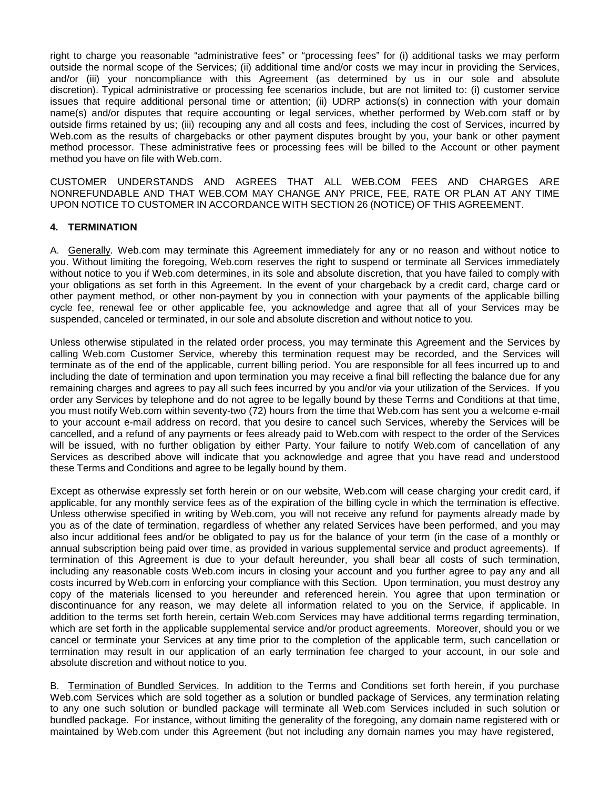right to charge you reasonable "administrative fees" or "processing fees" for (i) additional tasks we may perform outside the normal scope of the Services; (ii) additional time and/or costs we may incur in providing the Services, and/or (iii) your noncompliance with this Agreement (as determined by us in our sole and absolute discretion). Typical administrative or processing fee scenarios include, but are not limited to: (i) customer service issues that require additional personal time or attention; (ii) UDRP actions(s) in connection with your domain name(s) and/or disputes that require accounting or legal services, whether performed by Web.com staff or by outside firms retained by us; (iii) recouping any and all costs and fees, including the cost of Services, incurred by Web.com as the results of chargebacks or other payment disputes brought by you, your bank or other payment method processor. These administrative fees or processing fees will be billed to the Account or other payment method you have on file with Web.com.

CUSTOMER UNDERSTANDS AND AGREES THAT ALL WEB.COM FEES AND CHARGES ARE NONREFUNDABLE AND THAT WEB.COM MAY CHANGE ANY PRICE, FEE, RATE OR PLAN AT ANY TIME UPON NOTICE TO CUSTOMER IN ACCORDANCE WITH SECTION 26 (NOTICE) OF THIS AGREEMENT.

#### **4. TERMINATION**

A. Generally. Web.com may terminate this Agreement immediately for any or no reason and without notice to you. Without limiting the foregoing, Web.com reserves the right to suspend or terminate all Services immediately without notice to you if Web.com determines, in its sole and absolute discretion, that you have failed to comply with your obligations as set forth in this Agreement. In the event of your chargeback by a credit card, charge card or other payment method, or other non-payment by you in connection with your payments of the applicable billing cycle fee, renewal fee or other applicable fee, you acknowledge and agree that all of your Services may be suspended, canceled or terminated, in our sole and absolute discretion and without notice to you.

Unless otherwise stipulated in the related order process, you may terminate this Agreement and the Services by calling Web.com Customer Service, whereby this termination request may be recorded, and the Services will terminate as of the end of the applicable, current billing period. You are responsible for all fees incurred up to and including the date of termination and upon termination you may receive a final bill reflecting the balance due for any remaining charges and agrees to pay all such fees incurred by you and/or via your utilization of the Services. If you order any Services by telephone and do not agree to be legally bound by these Terms and Conditions at that time, you must notify Web.com within seventy-two (72) hours from the time that Web.com has sent you a welcome e-mail to your account e-mail address on record, that you desire to cancel such Services, whereby the Services will be cancelled, and a refund of any payments or fees already paid to Web.com with respect to the order of the Services will be issued, with no further obligation by either Party. Your failure to notify Web.com of cancellation of any Services as described above will indicate that you acknowledge and agree that you have read and understood these Terms and Conditions and agree to be legally bound by them.

Except as otherwise expressly set forth herein or on our website, Web.com will cease charging your credit card, if applicable, for any monthly service fees as of the expiration of the billing cycle in which the termination is effective. Unless otherwise specified in writing by Web.com, you will not receive any refund for payments already made by you as of the date of termination, regardless of whether any related Services have been performed, and you may also incur additional fees and/or be obligated to pay us for the balance of your term (in the case of a monthly or annual subscription being paid over time, as provided in various supplemental service and product agreements). If termination of this Agreement is due to your default hereunder, you shall bear all costs of such termination, including any reasonable costs Web.com incurs in closing your account and you further agree to pay any and all costs incurred by Web.com in enforcing your compliance with this Section. Upon termination, you must destroy any copy of the materials licensed to you hereunder and referenced herein. You agree that upon termination or discontinuance for any reason, we may delete all information related to you on the Service, if applicable. In addition to the terms set forth herein, certain Web.com Services may have additional terms regarding termination, which are set forth in the applicable supplemental service and/or product agreements. Moreover, should you or we cancel or terminate your Services at any time prior to the completion of the applicable term, such cancellation or termination may result in our application of an early termination fee charged to your account, in our sole and absolute discretion and without notice to you.

B. Termination of Bundled Services. In addition to the Terms and Conditions set forth herein, if you purchase Web.com Services which are sold together as a solution or bundled package of Services, any termination relating to any one such solution or bundled package will terminate all Web.com Services included in such solution or bundled package. For instance, without limiting the generality of the foregoing, any domain name registered with or maintained by Web.com under this Agreement (but not including any domain names you may have registered,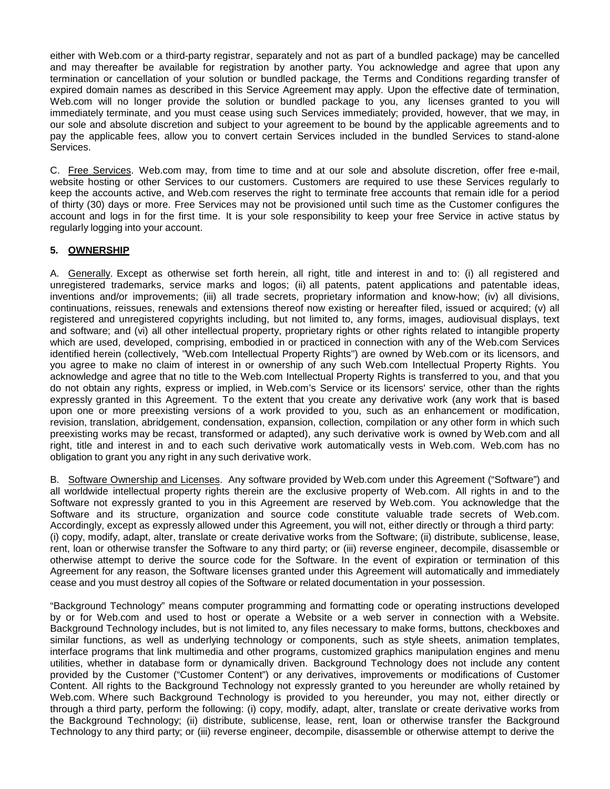either with Web.com or a third-party registrar, separately and not as part of a bundled package) may be cancelled and may thereafter be available for registration by another party. You acknowledge and agree that upon any termination or cancellation of your solution or bundled package, the Terms and Conditions regarding transfer of expired domain names as described in this Service Agreement may apply. Upon the effective date of termination, Web.com will no longer provide the solution or bundled package to you, any licenses granted to you will immediately terminate, and you must cease using such Services immediately; provided, however, that we may, in our sole and absolute discretion and subject to your agreement to be bound by the applicable agreements and to pay the applicable fees, allow you to convert certain Services included in the bundled Services to stand-alone Services.

C. Free Services. Web.com may, from time to time and at our sole and absolute discretion, offer free e-mail, website hosting or other Services to our customers. Customers are required to use these Services regularly to keep the accounts active, and Web.com reserves the right to terminate free accounts that remain idle for a period of thirty (30) days or more. Free Services may not be provisioned until such time as the Customer configures the account and logs in for the first time. It is your sole responsibility to keep your free Service in active status by regularly logging into your account.

### **5. OWNERSHIP**

A. Generally. Except as otherwise set forth herein, all right, title and interest in and to: (i) all registered and unregistered trademarks, service marks and logos; (ii) all patents, patent applications and patentable ideas, inventions and/or improvements; (iii) all trade secrets, proprietary information and know-how; (iv) all divisions, continuations, reissues, renewals and extensions thereof now existing or hereafter filed, issued or acquired; (v) all registered and unregistered copyrights including, but not limited to, any forms, images, audiovisual displays, text and software; and (vi) all other intellectual property, proprietary rights or other rights related to intangible property which are used, developed, comprising, embodied in or practiced in connection with any of the Web.com Services identified herein (collectively, "Web.com Intellectual Property Rights") are owned by Web.com or its licensors, and you agree to make no claim of interest in or ownership of any such Web.com Intellectual Property Rights. You acknowledge and agree that no title to the Web.com Intellectual Property Rights is transferred to you, and that you do not obtain any rights, express or implied, in Web.com's Service or its licensors' service, other than the rights expressly granted in this Agreement. To the extent that you create any derivative work (any work that is based upon one or more preexisting versions of a work provided to you, such as an enhancement or modification, revision, translation, abridgement, condensation, expansion, collection, compilation or any other form in which such preexisting works may be recast, transformed or adapted), any such derivative work is owned by Web.com and all right, title and interest in and to each such derivative work automatically vests in Web.com. Web.com has no obligation to grant you any right in any such derivative work.

B. Software Ownership and Licenses. Any software provided by Web.com under this Agreement ("Software") and all worldwide intellectual property rights therein are the exclusive property of Web.com. All rights in and to the Software not expressly granted to you in this Agreement are reserved by Web.com. You acknowledge that the Software and its structure, organization and source code constitute valuable trade secrets of Web.com. Accordingly, except as expressly allowed under this Agreement, you will not, either directly or through a third party: (i) copy, modify, adapt, alter, translate or create derivative works from the Software; (ii) distribute, sublicense, lease, rent, loan or otherwise transfer the Software to any third party; or (iii) reverse engineer, decompile, disassemble or otherwise attempt to derive the source code for the Software. In the event of expiration or termination of this Agreement for any reason, the Software licenses granted under this Agreement will automatically and immediately cease and you must destroy all copies of the Software or related documentation in your possession.

"Background Technology" means computer programming and formatting code or operating instructions developed by or for Web.com and used to host or operate a Website or a web server in connection with a Website. Background Technology includes, but is not limited to, any files necessary to make forms, buttons, checkboxes and similar functions, as well as underlying technology or components, such as style sheets, animation templates, interface programs that link multimedia and other programs, customized graphics manipulation engines and menu utilities, whether in database form or dynamically driven. Background Technology does not include any content provided by the Customer ("Customer Content") or any derivatives, improvements or modifications of Customer Content. All rights to the Background Technology not expressly granted to you hereunder are wholly retained by Web.com. Where such Background Technology is provided to you hereunder, you may not, either directly or through a third party, perform the following: (i) copy, modify, adapt, alter, translate or create derivative works from the Background Technology; (ii) distribute, sublicense, lease, rent, loan or otherwise transfer the Background Technology to any third party; or (iii) reverse engineer, decompile, disassemble or otherwise attempt to derive the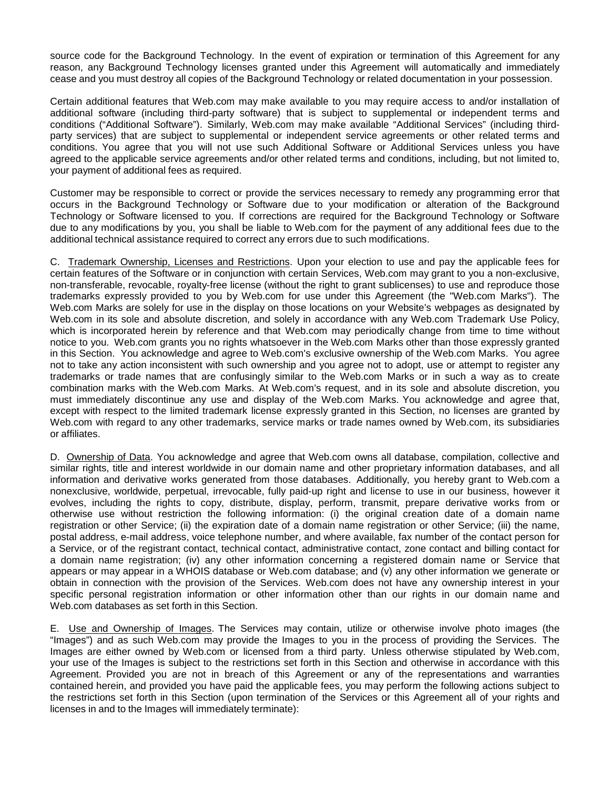source code for the Background Technology. In the event of expiration or termination of this Agreement for any reason, any Background Technology licenses granted under this Agreement will automatically and immediately cease and you must destroy all copies of the Background Technology or related documentation in your possession.

Certain additional features that Web.com may make available to you may require access to and/or installation of additional software (including third-party software) that is subject to supplemental or independent terms and conditions ("Additional Software"). Similarly, Web.com may make available "Additional Services" (including thirdparty services) that are subject to supplemental or independent service agreements or other related terms and conditions. You agree that you will not use such Additional Software or Additional Services unless you have agreed to the applicable service agreements and/or other related terms and conditions, including, but not limited to, your payment of additional fees as required.

Customer may be responsible to correct or provide the services necessary to remedy any programming error that occurs in the Background Technology or Software due to your modification or alteration of the Background Technology or Software licensed to you. If corrections are required for the Background Technology or Software due to any modifications by you, you shall be liable to Web.com for the payment of any additional fees due to the additional technical assistance required to correct any errors due to such modifications.

C. Trademark Ownership, Licenses and Restrictions. Upon your election to use and pay the applicable fees for certain features of the Software or in conjunction with certain Services, Web.com may grant to you a non-exclusive, non-transferable, revocable, royalty-free license (without the right to grant sublicenses) to use and reproduce those trademarks expressly provided to you by Web.com for use under this Agreement (the "Web.com Marks"). The Web.com Marks are solely for use in the display on those locations on your Website's webpages as designated by Web.com in its sole and absolute discretion, and solely in accordance with any Web.com Trademark Use Policy, which is incorporated herein by reference and that Web.com may periodically change from time to time without notice to you. Web.com grants you no rights whatsoever in the Web.com Marks other than those expressly granted in this Section. You acknowledge and agree to Web.com's exclusive ownership of the Web.com Marks. You agree not to take any action inconsistent with such ownership and you agree not to adopt, use or attempt to register any trademarks or trade names that are confusingly similar to the Web.com Marks or in such a way as to create combination marks with the Web.com Marks. At Web.com's request, and in its sole and absolute discretion, you must immediately discontinue any use and display of the Web.com Marks. You acknowledge and agree that, except with respect to the limited trademark license expressly granted in this Section, no licenses are granted by Web.com with regard to any other trademarks, service marks or trade names owned by Web.com, its subsidiaries or affiliates.

D. Ownership of Data. You acknowledge and agree that Web.com owns all database, compilation, collective and similar rights, title and interest worldwide in our domain name and other proprietary information databases, and all information and derivative works generated from those databases. Additionally, you hereby grant to Web.com a nonexclusive, worldwide, perpetual, irrevocable, fully paid-up right and license to use in our business, however it evolves, including the rights to copy, distribute, display, perform, transmit, prepare derivative works from or otherwise use without restriction the following information: (i) the original creation date of a domain name registration or other Service; (ii) the expiration date of a domain name registration or other Service; (iii) the name, postal address, e-mail address, voice telephone number, and where available, fax number of the contact person for a Service, or of the registrant contact, technical contact, administrative contact, zone contact and billing contact for a domain name registration; (iv) any other information concerning a registered domain name or Service that appears or may appear in a WHOIS database or Web.com database; and (v) any other information we generate or obtain in connection with the provision of the Services. Web.com does not have any ownership interest in your specific personal registration information or other information other than our rights in our domain name and Web.com databases as set forth in this Section.

E. Use and Ownership of Images. The Services may contain, utilize or otherwise involve photo images (the "Images") and as such Web.com may provide the Images to you in the process of providing the Services. The Images are either owned by Web.com or licensed from a third party. Unless otherwise stipulated by Web.com, your use of the Images is subject to the restrictions set forth in this Section and otherwise in accordance with this Agreement. Provided you are not in breach of this Agreement or any of the representations and warranties contained herein, and provided you have paid the applicable fees, you may perform the following actions subject to the restrictions set forth in this Section (upon termination of the Services or this Agreement all of your rights and licenses in and to the Images will immediately terminate):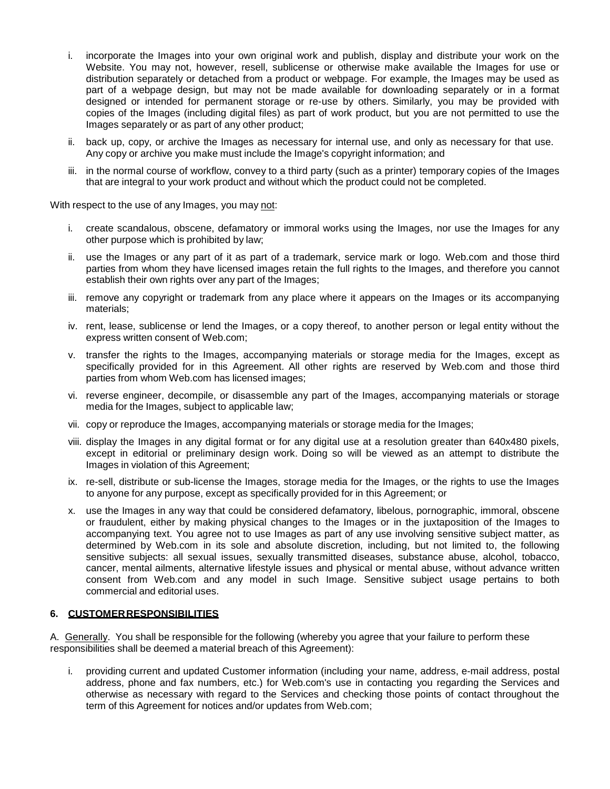- i. incorporate the Images into your own original work and publish, display and distribute your work on the Website. You may not, however, resell, sublicense or otherwise make available the Images for use or distribution separately or detached from a product or webpage. For example, the Images may be used as part of a webpage design, but may not be made available for downloading separately or in a format designed or intended for permanent storage or re-use by others. Similarly, you may be provided with copies of the Images (including digital files) as part of work product, but you are not permitted to use the Images separately or as part of any other product;
- ii. back up, copy, or archive the Images as necessary for internal use, and only as necessary for that use. Any copy or archive you make must include the Image's copyright information; and
- iii. in the normal course of workflow, convey to a third party (such as a printer) temporary copies of the Images that are integral to your work product and without which the product could not be completed.

With respect to the use of any Images, you may not:

- i. create scandalous, obscene, defamatory or immoral works using the Images, nor use the Images for any other purpose which is prohibited by law;
- ii. use the Images or any part of it as part of a trademark, service mark or logo. Web.com and those third parties from whom they have licensed images retain the full rights to the Images, and therefore you cannot establish their own rights over any part of the Images;
- iii. remove any copyright or trademark from any place where it appears on the Images or its accompanying materials;
- iv. rent, lease, sublicense or lend the Images, or a copy thereof, to another person or legal entity without the express written consent of Web.com;
- v. transfer the rights to the Images, accompanying materials or storage media for the Images, except as specifically provided for in this Agreement. All other rights are reserved by Web.com and those third parties from whom Web.com has licensed images;
- vi. reverse engineer, decompile, or disassemble any part of the Images, accompanying materials or storage media for the Images, subject to applicable law;
- vii. copy or reproduce the Images, accompanying materials or storage media for the Images;
- viii. display the Images in any digital format or for any digital use at a resolution greater than 640x480 pixels, except in editorial or preliminary design work. Doing so will be viewed as an attempt to distribute the Images in violation of this Agreement;
- ix. re-sell, distribute or sub-license the Images, storage media for the Images, or the rights to use the Images to anyone for any purpose, except as specifically provided for in this Agreement; or
- x. use the Images in any way that could be considered defamatory, libelous, pornographic, immoral, obscene or fraudulent, either by making physical changes to the Images or in the juxtaposition of the Images to accompanying text. You agree not to use Images as part of any use involving sensitive subject matter, as determined by Web.com in its sole and absolute discretion, including, but not limited to, the following sensitive subjects: all sexual issues, sexually transmitted diseases, substance abuse, alcohol, tobacco, cancer, mental ailments, alternative lifestyle issues and physical or mental abuse, without advance written consent from Web.com and any model in such Image. Sensitive subject usage pertains to both commercial and editorial uses.

#### **6. CUSTOMERRESPONSIBILITIES**

A. Generally. You shall be responsible for the following (whereby you agree that your failure to perform these responsibilities shall be deemed a material breach of this Agreement):

i. providing current and updated Customer information (including your name, address, e-mail address, postal address, phone and fax numbers, etc.) for Web.com's use in contacting you regarding the Services and otherwise as necessary with regard to the Services and checking those points of contact throughout the term of this Agreement for notices and/or updates from Web.com;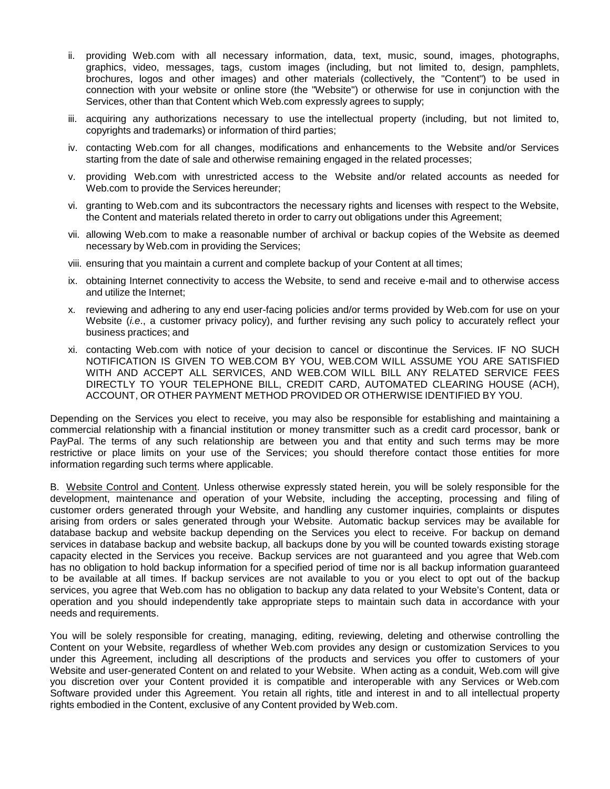- ii. providing Web.com with all necessary information, data, text, music, sound, images, photographs, graphics, video, messages, tags, custom images (including, but not limited to, design, pamphlets, brochures, logos and other images) and other materials (collectively, the "Content") to be used in connection with your website or online store (the "Website") or otherwise for use in conjunction with the Services, other than that Content which Web.com expressly agrees to supply;
- iii. acquiring any authorizations necessary to use the intellectual property (including, but not limited to, copyrights and trademarks) or information of third parties;
- iv. contacting Web.com for all changes, modifications and enhancements to the Website and/or Services starting from the date of sale and otherwise remaining engaged in the related processes;
- v. providing Web.com with unrestricted access to the Website and/or related accounts as needed for Web.com to provide the Services hereunder;
- vi. granting to Web.com and its subcontractors the necessary rights and licenses with respect to the Website, the Content and materials related thereto in order to carry out obligations under this Agreement;
- vii. allowing Web.com to make a reasonable number of archival or backup copies of the Website as deemed necessary by Web.com in providing the Services;
- viii. ensuring that you maintain a current and complete backup of your Content at all times;
- ix. obtaining Internet connectivity to access the Website, to send and receive e-mail and to otherwise access and utilize the Internet;
- x. reviewing and adhering to any end user-facing policies and/or terms provided by Web.com for use on your Website (*i.e*., a customer privacy policy), and further revising any such policy to accurately reflect your business practices; and
- xi. contacting Web.com with notice of your decision to cancel or discontinue the Services. IF NO SUCH NOTIFICATION IS GIVEN TO WEB.COM BY YOU, WEB.COM WILL ASSUME YOU ARE SATISFIED WITH AND ACCEPT ALL SERVICES, AND WEB.COM WILL BILL ANY RELATED SERVICE FEES DIRECTLY TO YOUR TELEPHONE BILL, CREDIT CARD, AUTOMATED CLEARING HOUSE (ACH), ACCOUNT, OR OTHER PAYMENT METHOD PROVIDED OR OTHERWISE IDENTIFIED BY YOU.

Depending on the Services you elect to receive, you may also be responsible for establishing and maintaining a commercial relationship with a financial institution or money transmitter such as a credit card processor, bank or PayPal. The terms of any such relationship are between you and that entity and such terms may be more restrictive or place limits on your use of the Services; you should therefore contact those entities for more information regarding such terms where applicable.

B. Website Control and Content. Unless otherwise expressly stated herein, you will be solely responsible for the development, maintenance and operation of your Website, including the accepting, processing and filing of customer orders generated through your Website, and handling any customer inquiries, complaints or disputes arising from orders or sales generated through your Website. Automatic backup services may be available for database backup and website backup depending on the Services you elect to receive. For backup on demand services in database backup and website backup, all backups done by you will be counted towards existing storage capacity elected in the Services you receive. Backup services are not guaranteed and you agree that Web.com has no obligation to hold backup information for a specified period of time nor is all backup information guaranteed to be available at all times. If backup services are not available to you or you elect to opt out of the backup services, you agree that Web.com has no obligation to backup any data related to your Website's Content, data or operation and you should independently take appropriate steps to maintain such data in accordance with your needs and requirements.

You will be solely responsible for creating, managing, editing, reviewing, deleting and otherwise controlling the Content on your Website, regardless of whether Web.com provides any design or customization Services to you under this Agreement, including all descriptions of the products and services you offer to customers of your Website and user-generated Content on and related to your Website. When acting as a conduit, Web.com will give you discretion over your Content provided it is compatible and interoperable with any Services or Web.com Software provided under this Agreement. You retain all rights, title and interest in and to all intellectual property rights embodied in the Content, exclusive of any Content provided by Web.com.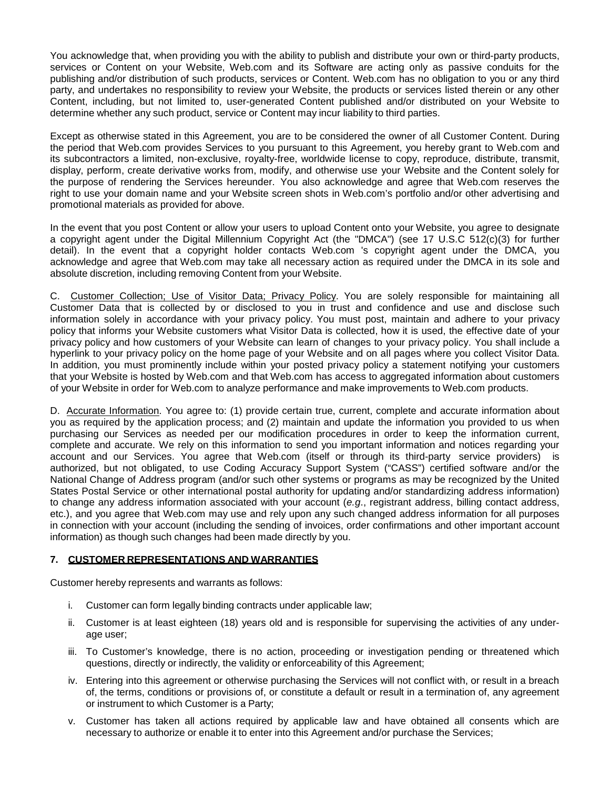You acknowledge that, when providing you with the ability to publish and distribute your own or third-party products, services or Content on your Website, Web.com and its Software are acting only as passive conduits for the publishing and/or distribution of such products, services or Content. Web.com has no obligation to you or any third party, and undertakes no responsibility to review your Website, the products or services listed therein or any other Content, including, but not limited to, user-generated Content published and/or distributed on your Website to determine whether any such product, service or Content may incur liability to third parties.

Except as otherwise stated in this Agreement, you are to be considered the owner of all Customer Content. During the period that Web.com provides Services to you pursuant to this Agreement, you hereby grant to Web.com and its subcontractors a limited, non-exclusive, royalty-free, worldwide license to copy, reproduce, distribute, transmit, display, perform, create derivative works from, modify, and otherwise use your Website and the Content solely for the purpose of rendering the Services hereunder. You also acknowledge and agree that Web.com reserves the right to use your domain name and your Website screen shots in Web.com's portfolio and/or other advertising and promotional materials as provided for above.

In the event that you post Content or allow your users to upload Content onto your Website, you agree to designate a copyright agent under the Digital Millennium Copyright Act (the "DMCA") (see 17 U.S.C 512(c)(3) for further detail). In the event that a copyright holder contacts Web.com 's copyright agent under the DMCA, you acknowledge and agree that Web.com may take all necessary action as required under the DMCA in its sole and absolute discretion, including removing Content from your Website.

C. Customer Collection; Use of Visitor Data; Privacy Policy. You are solely responsible for maintaining all Customer Data that is collected by or disclosed to you in trust and confidence and use and disclose such information solely in accordance with your privacy policy. You must post, maintain and adhere to your privacy policy that informs your Website customers what Visitor Data is collected, how it is used, the effective date of your privacy policy and how customers of your Website can learn of changes to your privacy policy. You shall include a hyperlink to your privacy policy on the home page of your Website and on all pages where you collect Visitor Data. In addition, you must prominently include within your posted privacy policy a statement notifying your customers that your Website is hosted by Web.com and that Web.com has access to aggregated information about customers of your Website in order for Web.com to analyze performance and make improvements to Web.com products.

D. Accurate Information. You agree to: (1) provide certain true, current, complete and accurate information about you as required by the application process; and (2) maintain and update the information you provided to us when purchasing our Services as needed per our modification procedures in order to keep the information current, complete and accurate. We rely on this information to send you important information and notices regarding your account and our Services. You agree that Web.com (itself or through its third-party service providers) is authorized, but not obligated, to use Coding Accuracy Support System ("CASS") certified software and/or the National Change of Address program (and/or such other systems or programs as may be recognized by the United States Postal Service or other international postal authority for updating and/or standardizing address information) to change any address information associated with your account (*e.g*., registrant address, billing contact address, etc.), and you agree that Web.com may use and rely upon any such changed address information for all purposes in connection with your account (including the sending of invoices, order confirmations and other important account information) as though such changes had been made directly by you.

### **7. CUSTOMER REPRESENTATIONS AND WARRANTIES**

Customer hereby represents and warrants as follows:

- i. Customer can form legally binding contracts under applicable law;
- ii. Customer is at least eighteen (18) years old and is responsible for supervising the activities of any underage user;
- iii. To Customer's knowledge, there is no action, proceeding or investigation pending or threatened which questions, directly or indirectly, the validity or enforceability of this Agreement;
- iv. Entering into this agreement or otherwise purchasing the Services will not conflict with, or result in a breach of, the terms, conditions or provisions of, or constitute a default or result in a termination of, any agreement or instrument to which Customer is a Party;
- v. Customer has taken all actions required by applicable law and have obtained all consents which are necessary to authorize or enable it to enter into this Agreement and/or purchase the Services;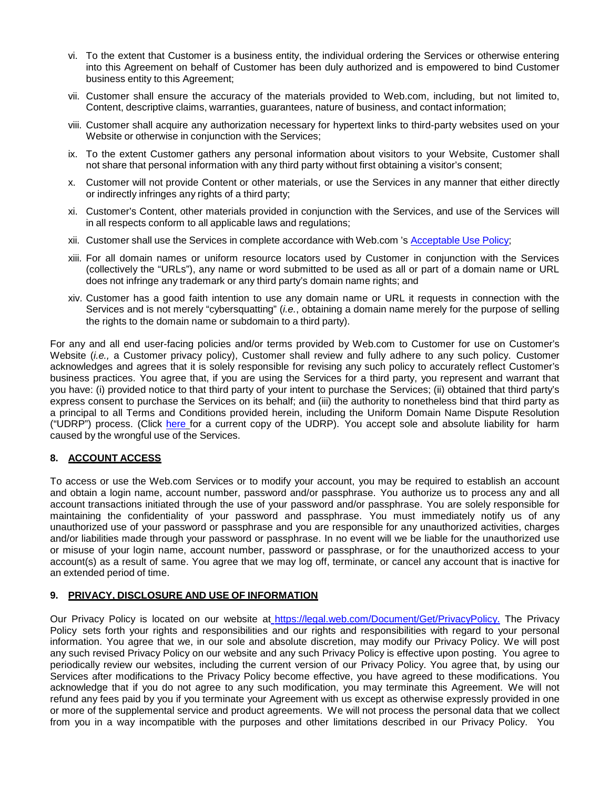- vi. To the extent that Customer is a business entity, the individual ordering the Services or otherwise entering into this Agreement on behalf of Customer has been duly authorized and is empowered to bind Customer business entity to this Agreement;
- vii. Customer shall ensure the accuracy of the materials provided to Web.com, including, but not limited to, Content, descriptive claims, warranties, guarantees, nature of business, and contact information;
- viii. Customer shall acquire any authorization necessary for hypertext links to third-party websites used on your Website or otherwise in conjunction with the Services;
- ix. To the extent Customer gathers any personal information about visitors to your Website, Customer shall not share that personal information with any third party without first obtaining a visitor's consent;
- x. Customer will not provide Content or other materials, or use the Services in any manner that either directly or indirectly infringes any rights of a third party;
- xi. Customer's Content, other materials provided in conjunction with the Services, and use of the Services will in all respects conform to all applicable laws and regulations;
- xii. Customer shall use the Services in complete accordance with Web.com 's [Acceptable](https://legal.web.com/Document/Get/AcceptableUsePolicy) Use Policy;
- xiii. For all domain names or uniform resource locators used by Customer in conjunction with the Services (collectively the "URLs"), any name or word submitted to be used as all or part of a domain name or URL does not infringe any trademark or any third party's domain name rights; and
- xiv. Customer has a good faith intention to use any domain name or URL it requests in connection with the Services and is not merely "cybersquatting" (*i.e.*, obtaining a domain name merely for the purpose of selling the rights to the domain name or subdomain to a third party).

For any and all end user-facing policies and/or terms provided by Web.com to Customer for use on Customer's Website (*i.e.,* a Customer privacy policy), Customer shall review and fully adhere to any such policy. Customer acknowledges and agrees that it is solely responsible for revising any such policy to accurately reflect Customer's business practices. You agree that, if you are using the Services for a third party, you represent and warrant that you have: (i) provided notice to that third party of your intent to purchase the Services; (ii) obtained that third party's express consent to purchase the Services on its behalf; and (iii) the authority to nonetheless bind that third party as a principal to all Terms and Conditions provided herein, including the Uniform Domain Name Dispute Resolution ("UDRP") process. (Click [here](http://www.icann.org/en/help/dndr/udrp/policy) for a current copy of the UDRP). You accept sole and absolute liability for harm caused by the wrongful use of the Services.

### **8. ACCOUNT ACCESS**

To access or use the Web.com Services or to modify your account, you may be required to establish an account and obtain a login name, account number, password and/or passphrase. You authorize us to process any and all account transactions initiated through the use of your password and/or passphrase. You are solely responsible for maintaining the confidentiality of your password and passphrase. You must immediately notify us of any unauthorized use of your password or passphrase and you are responsible for any unauthorized activities, charges and/or liabilities made through your password or passphrase. In no event will we be liable for the unauthorized use or misuse of your login name, account number, password or passphrase, or for the unauthorized access to your account(s) as a result of same. You agree that we may log off, terminate, or cancel any account that is inactive for an extended period of time.

#### **9. PRIVACY, DISCLOSURE AND USE OF INFORMATION**

Our Privacy Policy is located on our website at [https://legal.web.com/Document/Get/PrivacyPolicy.](https://legal.web.com/Document/Get/PrivacyPolicy) The Privacy Policy sets forth your rights and responsibilities and our rights and responsibilities with regard to your personal information. You agree that we, in our sole and absolute discretion, may modify our Privacy Policy. We will post any such revised Privacy Policy on our website and any such Privacy Policy is effective upon posting. You agree to periodically review our websites, including the current version of our Privacy Policy. You agree that, by using our Services after modifications to the Privacy Policy become effective, you have agreed to these modifications. You acknowledge that if you do not agree to any such modification, you may terminate this Agreement. We will not refund any fees paid by you if you terminate your Agreement with us except as otherwise expressly provided in one or more of the supplemental service and product agreements. We will not process the personal data that we collect from you in a way incompatible with the purposes and other limitations described in our Privacy Policy. You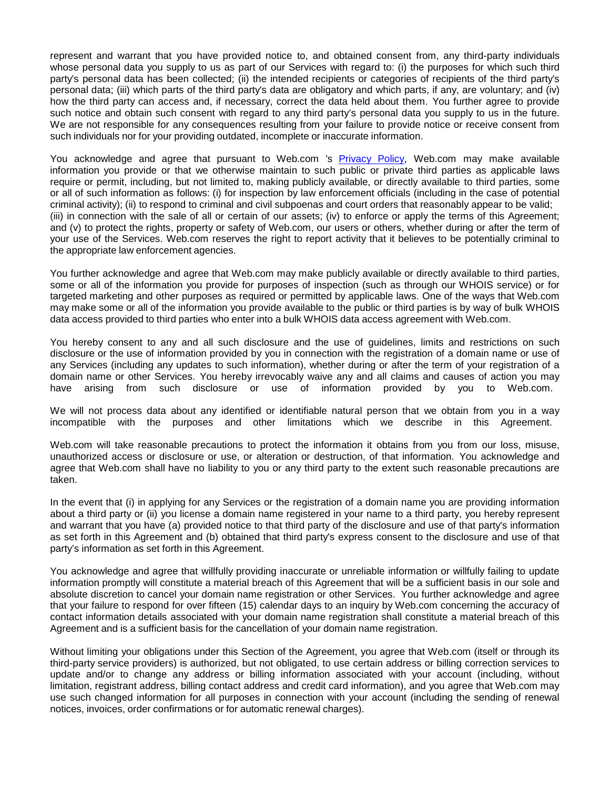represent and warrant that you have provided notice to, and obtained consent from, any third-party individuals whose personal data you supply to us as part of our Services with regard to: (i) the purposes for which such third party's personal data has been collected; (ii) the intended recipients or categories of recipients of the third party's personal data; (iii) which parts of the third party's data are obligatory and which parts, if any, are voluntary; and (iv) how the third party can access and, if necessary, correct the data held about them. You further agree to provide such notice and obtain such consent with regard to any third party's personal data you supply to us in the future. We are not responsible for any consequences resulting from your failure to provide notice or receive consent from such individuals nor for your providing outdated, incomplete or inaccurate information.

You acknowledge and agree that pursuant to Web.com 's [Privacy](https://legal.web.com/Document/Get/PrivacyPolicy) Policy, Web.com may make available information you provide or that we otherwise maintain to such public or private third parties as applicable laws require or permit, including, but not limited to, making publicly available, or directly available to third parties, some or all of such information as follows: (i) for inspection by law enforcement officials (including in the case of potential criminal activity); (ii) to respond to criminal and civil subpoenas and court orders that reasonably appear to be valid; (iii) in connection with the sale of all or certain of our assets; (iv) to enforce or apply the terms of this Agreement; and (v) to protect the rights, property or safety of Web.com, our users or others, whether during or after the term of your use of the Services. Web.com reserves the right to report activity that it believes to be potentially criminal to the appropriate law enforcement agencies.

You further acknowledge and agree that Web.com may make publicly available or directly available to third parties, some or all of the information you provide for purposes of inspection (such as through our WHOIS service) or for targeted marketing and other purposes as required or permitted by applicable laws. One of the ways that Web.com may make some or all of the information you provide available to the public or third parties is by way of bulk WHOIS data access provided to third parties who enter into a bulk WHOIS data access agreement with Web.com.

You hereby consent to any and all such disclosure and the use of guidelines, limits and restrictions on such disclosure or the use of information provided by you in connection with the registration of a domain name or use of any Services (including any updates to such information), whether during or after the term of your registration of a domain name or other Services. You hereby irrevocably waive any and all claims and causes of action you may have arising from such disclosure or use of information provided by you to Web.com.

We will not process data about any identified or identifiable natural person that we obtain from you in a way incompatible with the purposes and other limitations which we describe in this Agreement.

Web.com will take reasonable precautions to protect the information it obtains from you from our loss, misuse, unauthorized access or disclosure or use, or alteration or destruction, of that information. You acknowledge and agree that Web.com shall have no liability to you or any third party to the extent such reasonable precautions are taken.

In the event that (i) in applying for any Services or the registration of a domain name you are providing information about a third party or (ii) you license a domain name registered in your name to a third party, you hereby represent and warrant that you have (a) provided notice to that third party of the disclosure and use of that party's information as set forth in this Agreement and (b) obtained that third party's express consent to the disclosure and use of that party's information as set forth in this Agreement.

You acknowledge and agree that willfully providing inaccurate or unreliable information or willfully failing to update information promptly will constitute a material breach of this Agreement that will be a sufficient basis in our sole and absolute discretion to cancel your domain name registration or other Services. You further acknowledge and agree that your failure to respond for over fifteen (15) calendar days to an inquiry by Web.com concerning the accuracy of contact information details associated with your domain name registration shall constitute a material breach of this Agreement and is a sufficient basis for the cancellation of your domain name registration.

Without limiting your obligations under this Section of the Agreement, you agree that Web.com (itself or through its third-party service providers) is authorized, but not obligated, to use certain address or billing correction services to update and/or to change any address or billing information associated with your account (including, without limitation, registrant address, billing contact address and credit card information), and you agree that Web.com may use such changed information for all purposes in connection with your account (including the sending of renewal notices, invoices, order confirmations or for automatic renewal charges).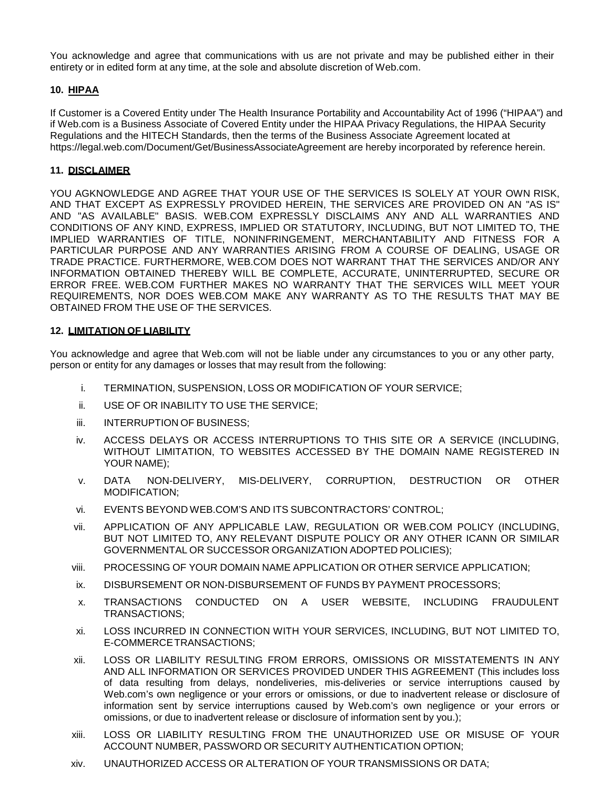You acknowledge and agree that communications with us are not private and may be published either in their entirety or in edited form at any time, at the sole and absolute discretion of Web.com.

### **10. HIPAA**

If Customer is a Covered Entity under The Health Insurance Portability and Accountability Act of 1996 ("HIPAA") and if Web.com is a Business Associate of Covered Entity under the HIPAA Privacy Regulations, the HIPAA Security Regulations and the HITECH Standards, then the terms of the Business Associate Agreement located at https://legal.web.com/Document/Get/BusinessAssociateAgreement are hereby incorporated by reference herein.

#### **11. DISCLAIMER**

YOU AGKNOWLEDGE AND AGREE THAT YOUR USE OF THE SERVICES IS SOLELY AT YOUR OWN RISK, AND THAT EXCEPT AS EXPRESSLY PROVIDED HEREIN, THE SERVICES ARE PROVIDED ON AN "AS IS" AND "AS AVAILABLE" BASIS. WEB.COM EXPRESSLY DISCLAIMS ANY AND ALL WARRANTIES AND CONDITIONS OF ANY KIND, EXPRESS, IMPLIED OR STATUTORY, INCLUDING, BUT NOT LIMITED TO, THE IMPLIED WARRANTIES OF TITLE, NONINFRINGEMENT, MERCHANTABILITY AND FITNESS FOR A PARTICULAR PURPOSE AND ANY WARRANTIES ARISING FROM A COURSE OF DEALING, USAGE OR TRADE PRACTICE. FURTHERMORE, WEB.COM DOES NOT WARRANT THAT THE SERVICES AND/OR ANY INFORMATION OBTAINED THEREBY WILL BE COMPLETE, ACCURATE, UNINTERRUPTED, SECURE OR ERROR FREE. WEB.COM FURTHER MAKES NO WARRANTY THAT THE SERVICES WILL MEET YOUR REQUIREMENTS, NOR DOES WEB.COM MAKE ANY WARRANTY AS TO THE RESULTS THAT MAY BE OBTAINED FROM THE USE OF THE SERVICES.

#### **12. LIMITATION OF LIABILITY**

You acknowledge and agree that Web.com will not be liable under any circumstances to you or any other party, person or entity for any damages or losses that may result from the following:

- i. TERMINATION, SUSPENSION, LOSS OR MODIFICATION OF YOUR SERVICE;
- ii. USE OF OR INABILITY TO USE THE SERVICE;
- iii. INTERRUPTION OF BUSINESS;
- iv. ACCESS DELAYS OR ACCESS INTERRUPTIONS TO THIS SITE OR A SERVICE (INCLUDING, WITHOUT LIMITATION, TO WEBSITES ACCESSED BY THE DOMAIN NAME REGISTERED IN YOUR NAME);
- v. DATA NON-DELIVERY, MIS-DELIVERY, CORRUPTION, DESTRUCTION OR OTHER MODIFICATION;
- vi. EVENTS BEYOND WEB.COM'S AND ITS SUBCONTRACTORS' CONTROL;
- vii. APPLICATION OF ANY APPLICABLE LAW, REGULATION OR WEB.COM POLICY (INCLUDING, BUT NOT LIMITED TO, ANY RELEVANT DISPUTE POLICY OR ANY OTHER ICANN OR SIMILAR GOVERNMENTAL OR SUCCESSOR ORGANIZATION ADOPTED POLICIES);
- viii. PROCESSING OF YOUR DOMAIN NAME APPLICATION OR OTHER SERVICE APPLICATION;
- ix. DISBURSEMENT OR NON-DISBURSEMENT OF FUNDS BY PAYMENT PROCESSORS;
- x. TRANSACTIONS CONDUCTED ON A USER WEBSITE, INCLUDING FRAUDULENT TRANSACTIONS;
- xi. LOSS INCURRED IN CONNECTION WITH YOUR SERVICES, INCLUDING, BUT NOT LIMITED TO, E-COMMERCETRANSACTIONS;
- xii. LOSS OR LIABILITY RESULTING FROM ERRORS, OMISSIONS OR MISSTATEMENTS IN ANY AND ALL INFORMATION OR SERVICES PROVIDED UNDER THIS AGREEMENT (This includes loss of data resulting from delays, nondeliveries, mis-deliveries or service interruptions caused by Web.com's own negligence or your errors or omissions, or due to inadvertent release or disclosure of information sent by service interruptions caused by Web.com's own negligence or your errors or omissions, or due to inadvertent release or disclosure of information sent by you.);
- xiii. LOSS OR LIABILITY RESULTING FROM THE UNAUTHORIZED USE OR MISUSE OF YOUR ACCOUNT NUMBER, PASSWORD OR SECURITY AUTHENTICATION OPTION;
- xiv. UNAUTHORIZED ACCESS OR ALTERATION OF YOUR TRANSMISSIONS OR DATA;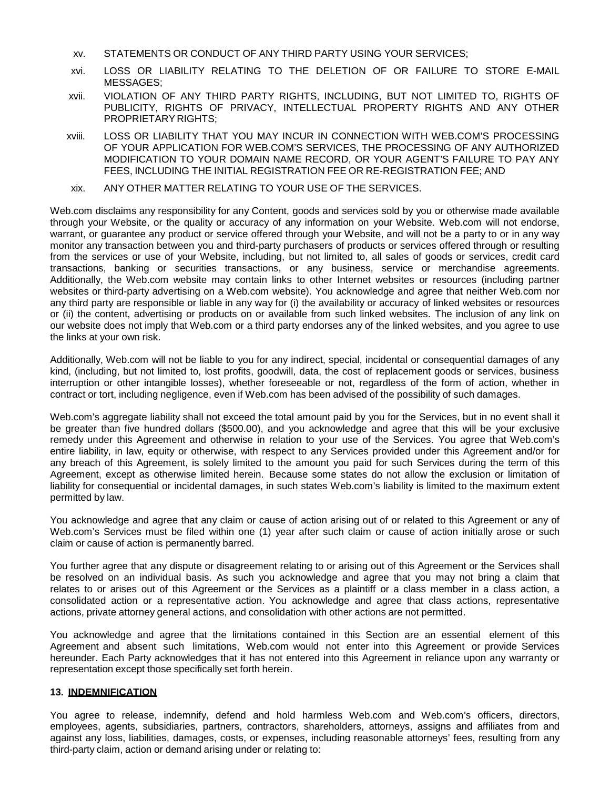- xv. STATEMENTS OR CONDUCT OF ANY THIRD PARTY USING YOUR SERVICES;
- xvi. LOSS OR LIABILITY RELATING TO THE DELETION OF OR FAILURE TO STORE E-MAIL MESSAGES;
- xvii. VIOLATION OF ANY THIRD PARTY RIGHTS, INCLUDING, BUT NOT LIMITED TO, RIGHTS OF PUBLICITY, RIGHTS OF PRIVACY, INTELLECTUAL PROPERTY RIGHTS AND ANY OTHER PROPRIETARY RIGHTS;
- xviii. LOSS OR LIABILITY THAT YOU MAY INCUR IN CONNECTION WITH WEB.COM'S PROCESSING OF YOUR APPLICATION FOR WEB.COM'S SERVICES, THE PROCESSING OF ANY AUTHORIZED MODIFICATION TO YOUR DOMAIN NAME RECORD, OR YOUR AGENT'S FAILURE TO PAY ANY FEES, INCLUDING THE INITIAL REGISTRATION FEE OR RE-REGISTRATION FEE; AND
- xix. ANY OTHER MATTER RELATING TO YOUR USE OF THE SERVICES.

Web.com disclaims any responsibility for any Content, goods and services sold by you or otherwise made available through your Website, or the quality or accuracy of any information on your Website. Web.com will not endorse, warrant, or guarantee any product or service offered through your Website, and will not be a party to or in any way monitor any transaction between you and third-party purchasers of products or services offered through or resulting from the services or use of your Website, including, but not limited to, all sales of goods or services, credit card transactions, banking or securities transactions, or any business, service or merchandise agreements. Additionally, the Web.com website may contain links to other Internet websites or resources (including partner websites or third-party advertising on a Web.com website). You acknowledge and agree that neither Web.com nor any third party are responsible or liable in any way for (i) the availability or accuracy of linked websites or resources or (ii) the content, advertising or products on or available from such linked websites. The inclusion of any link on our website does not imply that Web.com or a third party endorses any of the linked websites, and you agree to use the links at your own risk.

Additionally, Web.com will not be liable to you for any indirect, special, incidental or consequential damages of any kind, (including, but not limited to, lost profits, goodwill, data, the cost of replacement goods or services, business interruption or other intangible losses), whether foreseeable or not, regardless of the form of action, whether in contract or tort, including negligence, even if Web.com has been advised of the possibility of such damages.

Web.com's aggregate liability shall not exceed the total amount paid by you for the Services, but in no event shall it be greater than five hundred dollars (\$500.00), and you acknowledge and agree that this will be your exclusive remedy under this Agreement and otherwise in relation to your use of the Services. You agree that Web.com's entire liability, in law, equity or otherwise, with respect to any Services provided under this Agreement and/or for any breach of this Agreement, is solely limited to the amount you paid for such Services during the term of this Agreement, except as otherwise limited herein. Because some states do not allow the exclusion or limitation of liability for consequential or incidental damages, in such states Web.com's liability is limited to the maximum extent permitted by law.

You acknowledge and agree that any claim or cause of action arising out of or related to this Agreement or any of Web.com's Services must be filed within one (1) year after such claim or cause of action initially arose or such claim or cause of action is permanently barred.

You further agree that any dispute or disagreement relating to or arising out of this Agreement or the Services shall be resolved on an individual basis. As such you acknowledge and agree that you may not bring a claim that relates to or arises out of this Agreement or the Services as a plaintiff or a class member in a class action, a consolidated action or a representative action. You acknowledge and agree that class actions, representative actions, private attorney general actions, and consolidation with other actions are not permitted.

You acknowledge and agree that the limitations contained in this Section are an essential element of this Agreement and absent such limitations, Web.com would not enter into this Agreement or provide Services hereunder. Each Party acknowledges that it has not entered into this Agreement in reliance upon any warranty or representation except those specifically set forth herein.

#### **13. INDEMNIFICATION**

You agree to release, indemnify, defend and hold harmless Web.com and Web.com's officers, directors, employees, agents, subsidiaries, partners, contractors, shareholders, attorneys, assigns and affiliates from and against any loss, liabilities, damages, costs, or expenses, including reasonable attorneys' fees, resulting from any third-party claim, action or demand arising under or relating to: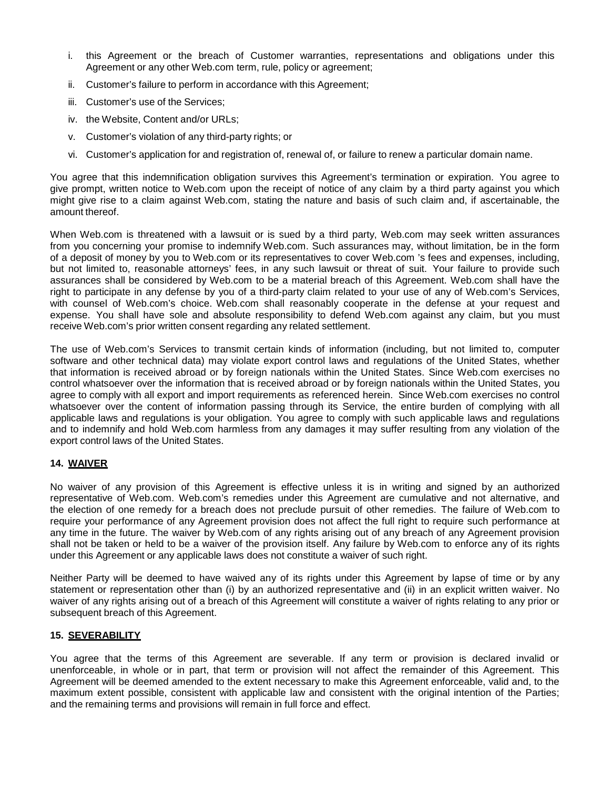- i. this Agreement or the breach of Customer warranties, representations and obligations under this Agreement or any other Web.com term, rule, policy or agreement;
- ii. Customer's failure to perform in accordance with this Agreement;
- iii. Customer's use of the Services;
- iv. the Website, Content and/or URLs;
- v. Customer's violation of any third-party rights; or
- vi. Customer's application for and registration of, renewal of, or failure to renew a particular domain name.

You agree that this indemnification obligation survives this Agreement's termination or expiration. You agree to give prompt, written notice to Web.com upon the receipt of notice of any claim by a third party against you which might give rise to a claim against Web.com, stating the nature and basis of such claim and, if ascertainable, the amount thereof.

When Web.com is threatened with a lawsuit or is sued by a third party, Web.com may seek written assurances from you concerning your promise to indemnify Web.com. Such assurances may, without limitation, be in the form of a deposit of money by you to Web.com or its representatives to cover Web.com 's fees and expenses, including, but not limited to, reasonable attorneys' fees, in any such lawsuit or threat of suit. Your failure to provide such assurances shall be considered by Web.com to be a material breach of this Agreement. Web.com shall have the right to participate in any defense by you of a third-party claim related to your use of any of Web.com's Services, with counsel of Web.com's choice. Web.com shall reasonably cooperate in the defense at your request and expense. You shall have sole and absolute responsibility to defend Web.com against any claim, but you must receive Web.com's prior written consent regarding any related settlement.

The use of Web.com's Services to transmit certain kinds of information (including, but not limited to, computer software and other technical data) may violate export control laws and regulations of the United States, whether that information is received abroad or by foreign nationals within the United States. Since Web.com exercises no control whatsoever over the information that is received abroad or by foreign nationals within the United States, you agree to comply with all export and import requirements as referenced herein. Since Web.com exercises no control whatsoever over the content of information passing through its Service, the entire burden of complying with all applicable laws and regulations is your obligation. You agree to comply with such applicable laws and regulations and to indemnify and hold Web.com harmless from any damages it may suffer resulting from any violation of the export control laws of the United States.

### **14. WAIVER**

No waiver of any provision of this Agreement is effective unless it is in writing and signed by an authorized representative of Web.com. Web.com's remedies under this Agreement are cumulative and not alternative, and the election of one remedy for a breach does not preclude pursuit of other remedies. The failure of Web.com to require your performance of any Agreement provision does not affect the full right to require such performance at any time in the future. The waiver by Web.com of any rights arising out of any breach of any Agreement provision shall not be taken or held to be a waiver of the provision itself. Any failure by Web.com to enforce any of its rights under this Agreement or any applicable laws does not constitute a waiver of such right.

Neither Party will be deemed to have waived any of its rights under this Agreement by lapse of time or by any statement or representation other than (i) by an authorized representative and (ii) in an explicit written waiver. No waiver of any rights arising out of a breach of this Agreement will constitute a waiver of rights relating to any prior or subsequent breach of this Agreement.

### **15. SEVERABILITY**

You agree that the terms of this Agreement are severable. If any term or provision is declared invalid or unenforceable, in whole or in part, that term or provision will not affect the remainder of this Agreement. This Agreement will be deemed amended to the extent necessary to make this Agreement enforceable, valid and, to the maximum extent possible, consistent with applicable law and consistent with the original intention of the Parties; and the remaining terms and provisions will remain in full force and effect.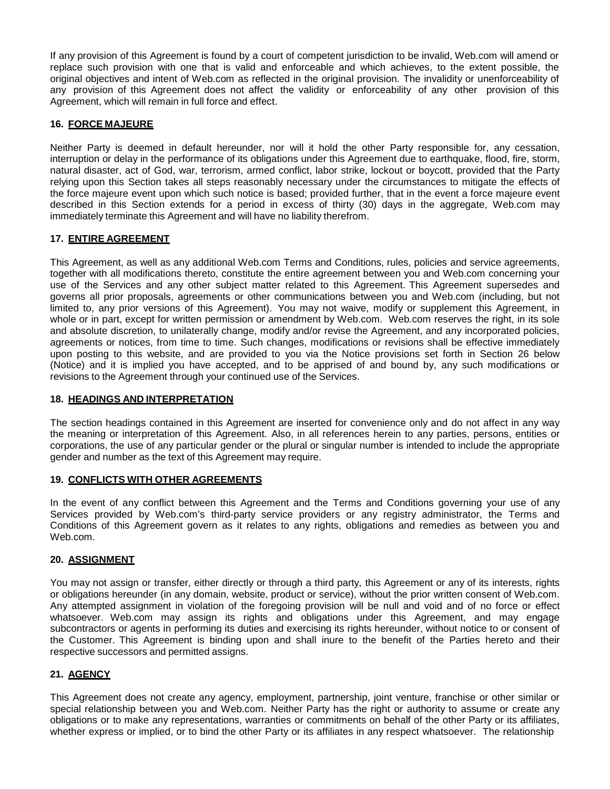If any provision of this Agreement is found by a court of competent jurisdiction to be invalid, Web.com will amend or replace such provision with one that is valid and enforceable and which achieves, to the extent possible, the original objectives and intent of Web.com as reflected in the original provision. The invalidity or unenforceability of any provision of this Agreement does not affect the validity or enforceability of any other provision of this Agreement, which will remain in full force and effect.

### **16. FORCE MAJEURE**

Neither Party is deemed in default hereunder, nor will it hold the other Party responsible for, any cessation, interruption or delay in the performance of its obligations under this Agreement due to earthquake, flood, fire, storm, natural disaster, act of God, war, terrorism, armed conflict, labor strike, lockout or boycott, provided that the Party relying upon this Section takes all steps reasonably necessary under the circumstances to mitigate the effects of the force majeure event upon which such notice is based; provided further, that in the event a force majeure event described in this Section extends for a period in excess of thirty (30) days in the aggregate, Web.com may immediately terminate this Agreement and will have no liability therefrom.

# **17. ENTIRE AGREEMENT**

This Agreement, as well as any additional Web.com Terms and Conditions, rules, policies and service agreements, together with all modifications thereto, constitute the entire agreement between you and Web.com concerning your use of the Services and any other subject matter related to this Agreement. This Agreement supersedes and governs all prior proposals, agreements or other communications between you and Web.com (including, but not limited to, any prior versions of this Agreement). You may not waive, modify or supplement this Agreement, in whole or in part, except for written permission or amendment by Web.com. Web.com reserves the right, in its sole and absolute discretion, to unilaterally change, modify and/or revise the Agreement, and any incorporated policies, agreements or notices, from time to time. Such changes, modifications or revisions shall be effective immediately upon posting to this website, and are provided to you via the Notice provisions set forth in Section 26 below (Notice) and it is implied you have accepted, and to be apprised of and bound by, any such modifications or revisions to the Agreement through your continued use of the Services.

### **18. HEADINGS AND INTERPRETATION**

The section headings contained in this Agreement are inserted for convenience only and do not affect in any way the meaning or interpretation of this Agreement. Also, in all references herein to any parties, persons, entities or corporations, the use of any particular gender or the plural or singular number is intended to include the appropriate gender and number as the text of this Agreement may require.

#### **19. CONFLICTS WITH OTHER AGREEMENTS**

In the event of any conflict between this Agreement and the Terms and Conditions governing your use of any Services provided by Web.com's third-party service providers or any registry administrator, the Terms and Conditions of this Agreement govern as it relates to any rights, obligations and remedies as between you and Web.com.

### **20. ASSIGNMENT**

You may not assign or transfer, either directly or through a third party, this Agreement or any of its interests, rights or obligations hereunder (in any domain, website, product or service), without the prior written consent of Web.com. Any attempted assignment in violation of the foregoing provision will be null and void and of no force or effect whatsoever. Web.com may assign its rights and obligations under this Agreement, and may engage subcontractors or agents in performing its duties and exercising its rights hereunder, without notice to or consent of the Customer. This Agreement is binding upon and shall inure to the benefit of the Parties hereto and their respective successors and permitted assigns.

# **21. AGENCY**

This Agreement does not create any agency, employment, partnership, joint venture, franchise or other similar or special relationship between you and Web.com. Neither Party has the right or authority to assume or create any obligations or to make any representations, warranties or commitments on behalf of the other Party or its affiliates, whether express or implied, or to bind the other Party or its affiliates in any respect whatsoever. The relationship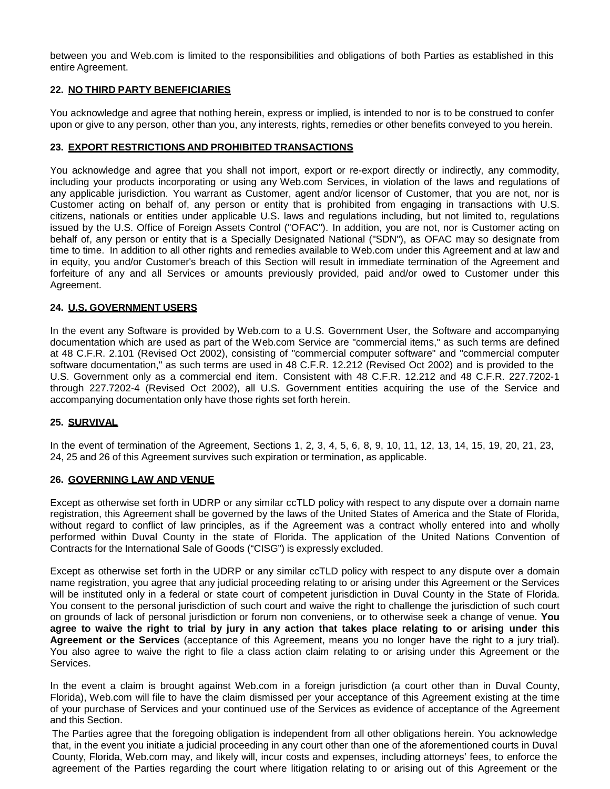between you and Web.com is limited to the responsibilities and obligations of both Parties as established in this entire Agreement.

#### **22. NO THIRD PARTY BENEFICIARIES**

You acknowledge and agree that nothing herein, express or implied, is intended to nor is to be construed to confer upon or give to any person, other than you, any interests, rights, remedies or other benefits conveyed to you herein.

#### **23. EXPORT RESTRICTIONS AND PROHIBITED TRANSACTIONS**

You acknowledge and agree that you shall not import, export or re-export directly or indirectly, any commodity, including your products incorporating or using any Web.com Services, in violation of the laws and regulations of any applicable jurisdiction. You warrant as Customer, agent and/or licensor of Customer, that you are not, nor is Customer acting on behalf of, any person or entity that is prohibited from engaging in transactions with U.S. citizens, nationals or entities under applicable U.S. laws and regulations including, but not limited to, regulations issued by the U.S. Office of Foreign Assets Control ("OFAC"). In addition, you are not, nor is Customer acting on behalf of, any person or entity that is a Specially Designated National ("SDN"), as OFAC may so designate from time to time. In addition to all other rights and remedies available to Web.com under this Agreement and at law and in equity, you and/or Customer's breach of this Section will result in immediate termination of the Agreement and forfeiture of any and all Services or amounts previously provided, paid and/or owed to Customer under this Agreement.

#### **24. U.S. GOVERNMENT USERS**

In the event any Software is provided by Web.com to a U.S. Government User, the Software and accompanying documentation which are used as part of the Web.com Service are "commercial items," as such terms are defined at 48 C.F.R. 2.101 (Revised Oct 2002), consisting of "commercial computer software" and "commercial computer software documentation," as such terms are used in 48 C.F.R. 12.212 (Revised Oct 2002) and is provided to the U.S. Government only as a commercial end item. Consistent with 48 C.F.R. 12.212 and 48 C.F.R. 227.7202-1 through 227.7202-4 (Revised Oct 2002), all U.S. Government entities acquiring the use of the Service and accompanying documentation only have those rights set forth herein.

#### **25. SURVIVAL**

In the event of termination of the Agreement, Sections 1, 2, 3, 4, 5, 6, 8, 9, 10, 11, 12, 13, 14, 15, 19, 20, 21, 23, 24, 25 and 26 of this Agreement survives such expiration or termination, as applicable.

#### **26. GOVERNING LAW AND VENUE**

Except as otherwise set forth in UDRP or any similar ccTLD policy with respect to any dispute over a domain name registration, this Agreement shall be governed by the laws of the United States of America and the State of Florida, without regard to conflict of law principles, as if the Agreement was a contract wholly entered into and wholly performed within Duval County in the state of Florida. The application of the United Nations Convention of Contracts for the International Sale of Goods ("CISG") is expressly excluded.

Except as otherwise set forth in the UDRP or any similar ccTLD policy with respect to any dispute over a domain name registration, you agree that any judicial proceeding relating to or arising under this Agreement or the Services will be instituted only in a federal or state court of competent jurisdiction in Duval County in the State of Florida. You consent to the personal jurisdiction of such court and waive the right to challenge the jurisdiction of such court on grounds of lack of personal jurisdiction or forum non conveniens, or to otherwise seek a change of venue. **You** agree to waive the right to trial by jury in any action that takes place relating to or arising under this **Agreement or the Services** (acceptance of this Agreement, means you no longer have the right to a jury trial). You also agree to waive the right to file a class action claim relating to or arising under this Agreement or the Services.

In the event a claim is brought against Web.com in a foreign jurisdiction (a court other than in Duval County, Florida), Web.com will file to have the claim dismissed per your acceptance of this Agreement existing at the time of your purchase of Services and your continued use of the Services as evidence of acceptance of the Agreement and this Section.

The Parties agree that the foregoing obligation is independent from all other obligations herein. You acknowledge that, in the event you initiate a judicial proceeding in any court other than one of the aforementioned courts in Duval County, Florida, Web.com may, and likely will, incur costs and expenses, including attorneys' fees, to enforce the agreement of the Parties regarding the court where litigation relating to or arising out of this Agreement or the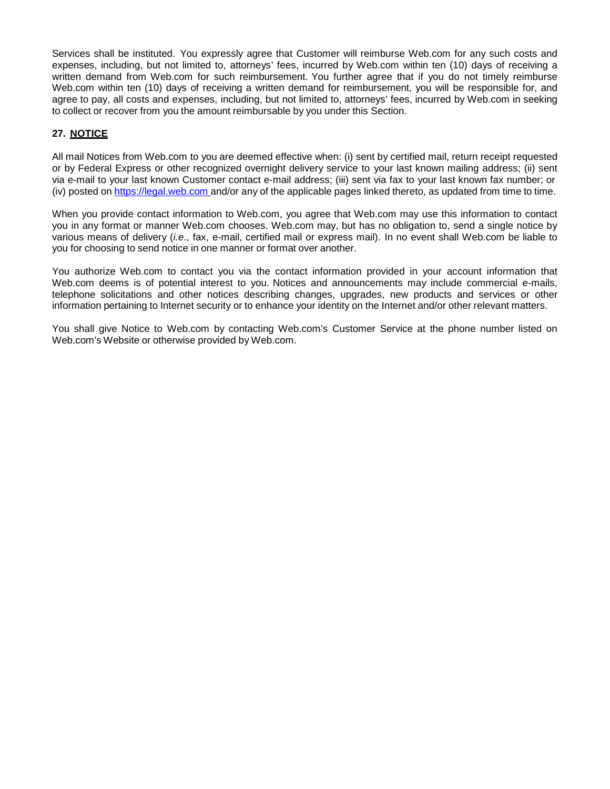Services shall be instituted. You expressly agree that Customer will reimburse Web.com for any such costs and expenses, including, but not limited to, attorneys' fees, incurred by Web.com within ten (10) days of receiving a written demand from Web.com for such reimbursement. You further agree that if you do not timely reimburse Web.com within ten (10) days of receiving a written demand for reimbursement, you will be responsible for, and agree to pay, all costs and expenses, including, but not limited to, attorneys' fees, incurred by Web.com in seeking to collect or recover from you the amount reimbursable by you under this Section.

# **27. NOTICE**

All mail Notices from Web.com to you are deemed effective when: (i) sent by certified mail, return receipt requested or by Federal Express or other recognized overnight delivery service to your last known mailing address; (ii) sent via e-mail to your last known Customer contact e-mail address; (iii) sent via fax to your last known fax number; or (iv) posted on [https://legal.web.com](http://www.web.com/legal) and/or any of the applicable pages linked thereto, as updated from time to time.

When you provide contact information to Web.com, you agree that Web.com may use this information to contact you in any format or manner Web.com chooses. Web.com may, but has no obligation to, send a single notice by various means of delivery (*i.e*., fax, e-mail, certified mail or express mail). In no event shall Web.com be liable to you for choosing to send notice in one manner or format over another.

You authorize Web.com to contact you via the contact information provided in your account information that Web.com deems is of potential interest to you. Notices and announcements may include commercial e-mails, telephone solicitations and other notices describing changes, upgrades, new products and services or other information pertaining to Internet security or to enhance your identity on the Internet and/or other relevant matters.

You shall give Notice to Web.com by contacting Web.com's Customer Service at the phone number listed on Web.com's Website or otherwise provided by Web.com.